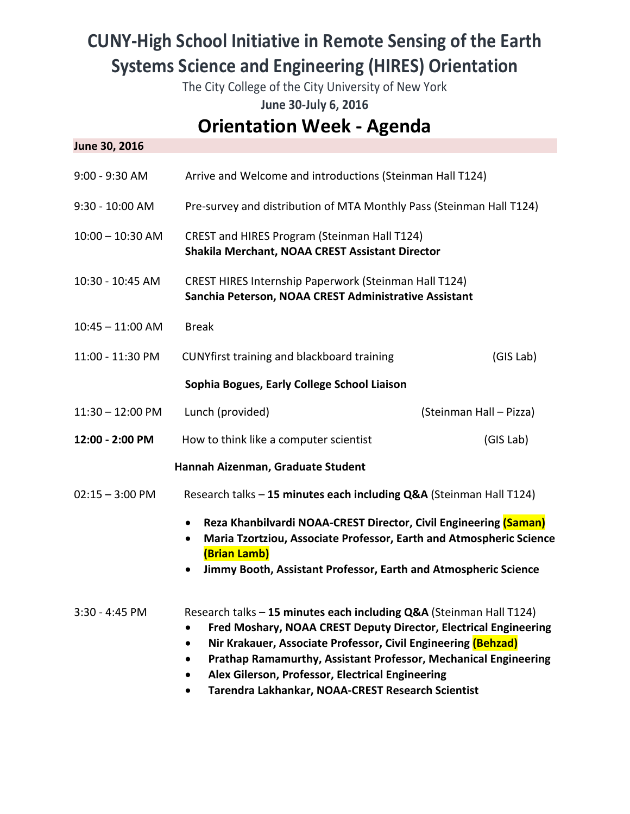## **CUNY‐High School Initiative in Remote Sensing of the Earth Systems Science and Engineering (HIRES) Orientation**

The City College of the City University of New York

**June 30‐July 6, 2016** 

## **Orientation Week ‐ Agenda**

| June 30, 2016      |                                                                                                                                                                                                                                                                                                                                                                                                          |                         |
|--------------------|----------------------------------------------------------------------------------------------------------------------------------------------------------------------------------------------------------------------------------------------------------------------------------------------------------------------------------------------------------------------------------------------------------|-------------------------|
| 9:00 - 9:30 AM     | Arrive and Welcome and introductions (Steinman Hall T124)                                                                                                                                                                                                                                                                                                                                                |                         |
| 9:30 - 10:00 AM    | Pre-survey and distribution of MTA Monthly Pass (Steinman Hall T124)                                                                                                                                                                                                                                                                                                                                     |                         |
| $10:00 - 10:30$ AM | CREST and HIRES Program (Steinman Hall T124)<br>Shakila Merchant, NOAA CREST Assistant Director                                                                                                                                                                                                                                                                                                          |                         |
| 10:30 - 10:45 AM   | CREST HIRES Internship Paperwork (Steinman Hall T124)<br>Sanchia Peterson, NOAA CREST Administrative Assistant                                                                                                                                                                                                                                                                                           |                         |
| $10:45 - 11:00$ AM | <b>Break</b>                                                                                                                                                                                                                                                                                                                                                                                             |                         |
| 11:00 - 11:30 PM   | CUNYfirst training and blackboard training                                                                                                                                                                                                                                                                                                                                                               | (GIS Lab)               |
|                    | Sophia Bogues, Early College School Liaison                                                                                                                                                                                                                                                                                                                                                              |                         |
| $11:30 - 12:00$ PM | Lunch (provided)                                                                                                                                                                                                                                                                                                                                                                                         | (Steinman Hall - Pizza) |
| 12:00 - 2:00 PM    | How to think like a computer scientist                                                                                                                                                                                                                                                                                                                                                                   | (GIS Lab)               |
|                    | Hannah Aizenman, Graduate Student                                                                                                                                                                                                                                                                                                                                                                        |                         |
| $02:15 - 3:00$ PM  | Research talks - 15 minutes each including Q&A (Steinman Hall T124)                                                                                                                                                                                                                                                                                                                                      |                         |
|                    | Reza Khanbilvardi NOAA-CREST Director, Civil Engineering (Saman)<br>$\bullet$<br>Maria Tzortziou, Associate Professor, Earth and Atmospheric Science<br>(Brian Lamb)<br>Jimmy Booth, Assistant Professor, Earth and Atmospheric Science                                                                                                                                                                  |                         |
| 3:30 - 4:45 PM     | Research talks - 15 minutes each including Q&A (Steinman Hall T124)<br>Fred Moshary, NOAA CREST Deputy Director, Electrical Engineering<br>$\bullet$<br>Nir Krakauer, Associate Professor, Civil Engineering (Behzad)<br><b>Prathap Ramamurthy, Assistant Professor, Mechanical Engineering</b><br>Alex Gilerson, Professor, Electrical Engineering<br>Tarendra Lakhankar, NOAA-CREST Research Scientist |                         |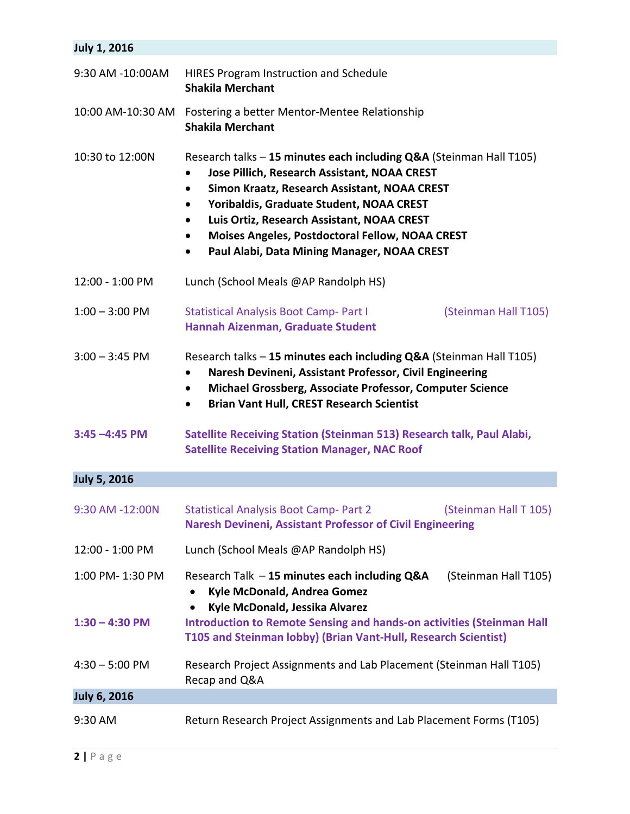| <b>July 1, 2016</b> |                                                                                                                                                                                                                                                                                                                                                                                                        |  |
|---------------------|--------------------------------------------------------------------------------------------------------------------------------------------------------------------------------------------------------------------------------------------------------------------------------------------------------------------------------------------------------------------------------------------------------|--|
| 9:30 AM -10:00AM    | <b>HIRES Program Instruction and Schedule</b><br><b>Shakila Merchant</b>                                                                                                                                                                                                                                                                                                                               |  |
| 10:00 AM-10:30 AM   | Fostering a better Mentor-Mentee Relationship<br><b>Shakila Merchant</b>                                                                                                                                                                                                                                                                                                                               |  |
| 10:30 to 12:00N     | Research talks - 15 minutes each including Q&A (Steinman Hall T105)<br>Jose Pillich, Research Assistant, NOAA CREST<br>Simon Kraatz, Research Assistant, NOAA CREST<br>$\bullet$<br>Yoribaldis, Graduate Student, NOAA CREST<br>$\bullet$<br>Luis Ortiz, Research Assistant, NOAA CREST<br>Moises Angeles, Postdoctoral Fellow, NOAA CREST<br>$\bullet$<br>Paul Alabi, Data Mining Manager, NOAA CREST |  |
| 12:00 - 1:00 PM     | Lunch (School Meals @AP Randolph HS)                                                                                                                                                                                                                                                                                                                                                                   |  |
| $1:00 - 3:00$ PM    | <b>Statistical Analysis Boot Camp- Part I</b><br>(Steinman Hall T105)<br>Hannah Aizenman, Graduate Student                                                                                                                                                                                                                                                                                             |  |
| $3:00 - 3:45$ PM    | Research talks - 15 minutes each including Q&A (Steinman Hall T105)<br>Naresh Devineni, Assistant Professor, Civil Engineering<br>$\bullet$<br>Michael Grossberg, Associate Professor, Computer Science<br>$\bullet$<br><b>Brian Vant Hull, CREST Research Scientist</b><br>$\bullet$                                                                                                                  |  |
| $3:45 - 4:45$ PM    | Satellite Receiving Station (Steinman 513) Research talk, Paul Alabi,<br><b>Satellite Receiving Station Manager, NAC Roof</b>                                                                                                                                                                                                                                                                          |  |
| <b>July 5, 2016</b> |                                                                                                                                                                                                                                                                                                                                                                                                        |  |
| 9:30 AM -12:00N     | <b>Statistical Analysis Boot Camp- Part 2</b><br>(Steinman Hall T 105)<br><b>Naresh Devineni, Assistant Professor of Civil Engineering</b>                                                                                                                                                                                                                                                             |  |
| 12:00 - 1:00 PM     | Lunch (School Meals @AP Randolph HS)                                                                                                                                                                                                                                                                                                                                                                   |  |
| 1:00 PM-1:30 PM     | Research Talk - 15 minutes each including Q&A<br>(Steinman Hall T105)<br>Kyle McDonald, Andrea Gomez<br>$\bullet$<br>Kyle McDonald, Jessika Alvarez<br>$\bullet$                                                                                                                                                                                                                                       |  |
| $1:30 - 4:30$ PM    | <b>Introduction to Remote Sensing and hands-on activities (Steinman Hall</b><br>T105 and Steinman lobby) (Brian Vant-Hull, Research Scientist)                                                                                                                                                                                                                                                         |  |
| $4:30 - 5:00$ PM    | Research Project Assignments and Lab Placement (Steinman Hall T105)<br>Recap and Q&A                                                                                                                                                                                                                                                                                                                   |  |
| <b>July 6, 2016</b> |                                                                                                                                                                                                                                                                                                                                                                                                        |  |
| 9:30 AM             | Return Research Project Assignments and Lab Placement Forms (T105)                                                                                                                                                                                                                                                                                                                                     |  |